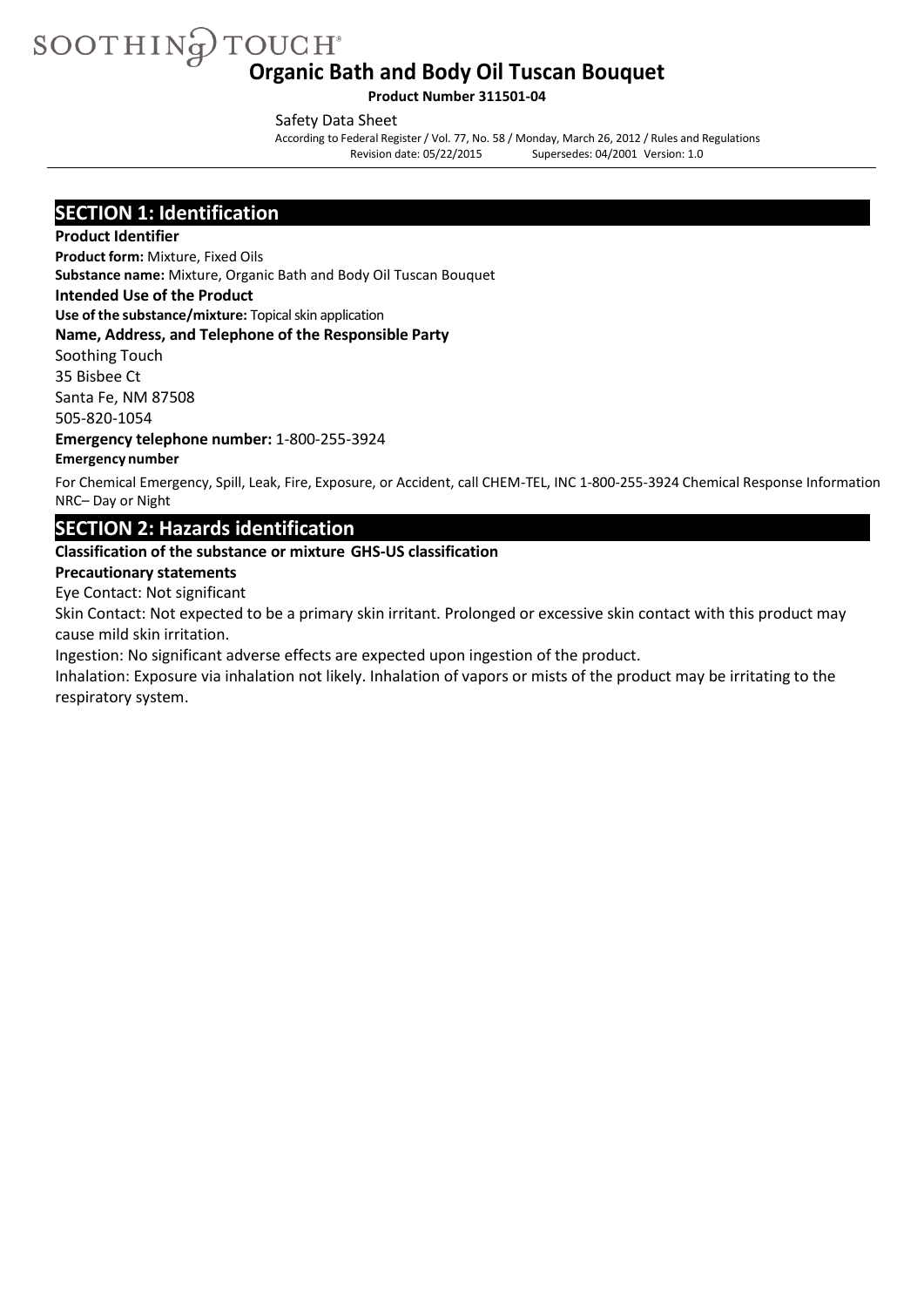SOOTHING TOUCH **Organic Bath and Body Oil Tuscan Bouquet**

**Product Number 311501-04**

Safety Data Sheet

According to Federal Register/ Vol. 77, No. 58 / Monday, March 26, 2012 / Rules and Regulations Supersedes: 04/2001 Version: 1.0

### **SECTION 1: Identification**

#### **Product Identifier**

**Product form:** Mixture, Fixed Oils

**Substance name:** Mixture, Organic Bath and Body Oil Tuscan Bouquet

**Intended Use of the Product**

**Use of the substance/mixture:** Topical skin application

**Name, Address, and Telephone of the Responsible Party**

Soothing Touch 35 Bisbee Ct

Santa Fe, NM 87508

505-820-1054

**Emergency telephone number:** 1-800-255-3924

#### **Emergency number**

For Chemical Emergency, Spill, Leak, Fire, Exposure, or Accident, call CHEM-TEL, INC 1-800-255-3924 Chemical Response Information NRC– Day or Night

### **SECTION 2: Hazards identification**

#### **Classification of the substance or mixture GHS-US classification**

#### **Precautionary statements**

Eye Contact: Not significant

Skin Contact: Not expected to be a primary skin irritant. Prolonged or excessive skin contact with this product may cause mild skin irritation.

Ingestion: No significant adverse effects are expected upon ingestion of the product.

Inhalation: Exposure via inhalation not likely. Inhalation of vapors or mists of the product may be irritating to the respiratory system.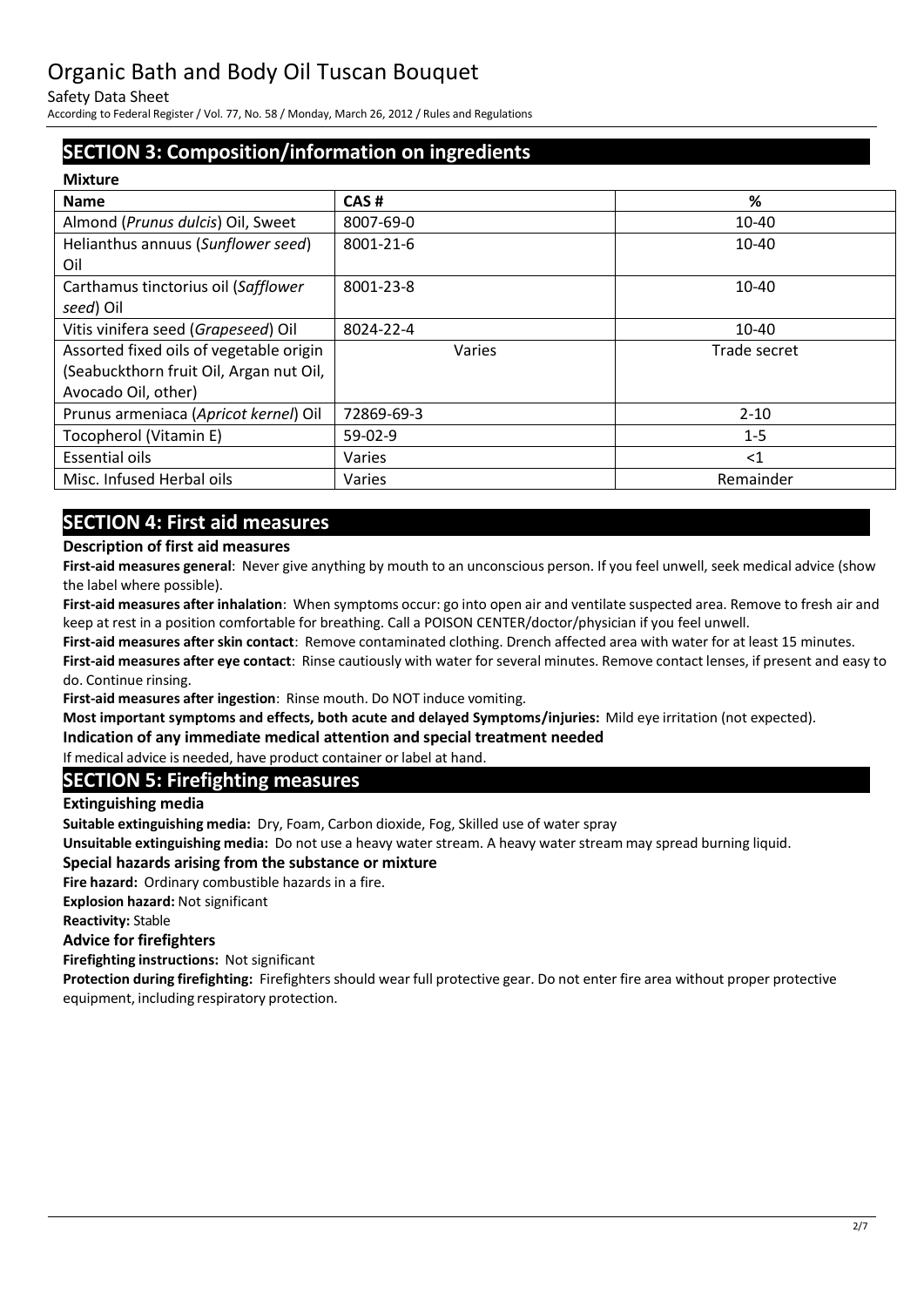Safety Data Sheet

According to Federal Register/ Vol. 77, No. 58 / Monday, March 26, 2012 / Rules and Regulations

## **SECTION 3: Composition/information on ingredients**

| <b>Mixture</b>                          |            |              |
|-----------------------------------------|------------|--------------|
| <b>Name</b>                             | CAS#       | %            |
| Almond (Prunus dulcis) Oil, Sweet       | 8007-69-0  | 10-40        |
| Helianthus annuus (Sunflower seed)      | 8001-21-6  | 10-40        |
| Oil                                     |            |              |
| Carthamus tinctorius oil (Safflower     | 8001-23-8  | $10 - 40$    |
| seed) Oil                               |            |              |
| Vitis vinifera seed (Grapeseed) Oil     | 8024-22-4  | $10 - 40$    |
| Assorted fixed oils of vegetable origin | Varies     | Trade secret |
| (Seabuckthorn fruit Oil, Argan nut Oil, |            |              |
| Avocado Oil, other)                     |            |              |
| Prunus armeniaca (Apricot kernel) Oil   | 72869-69-3 | $2 - 10$     |
| Tocopherol (Vitamin E)                  | $59-02-9$  | $1 - 5$      |
| <b>Essential oils</b>                   | Varies     | $\leq$ 1     |
| Misc. Infused Herbal oils               | Varies     | Remainder    |
|                                         |            |              |

## **SECTION 4: First aid measures**

### **Description of first aid measures**

**First-aid measures general**: Never give anything by mouth to an unconscious person. If you feel unwell, seek medical advice (show the label where possible).

**First-aid measures after inhalation**: When symptoms occur: go into open air and ventilate suspected area. Remove to fresh air and keep at rest in a position comfortable for breathing. Call a POISON CENTER/doctor/physician if you feel unwell.

**First-aid measures after skin contact**: Remove contaminated clothing. Drench affected area with water for at least 15 minutes. **First-aid measures after eye contact**: Rinse cautiously with water for several minutes. Remove contact lenses, if present and easy to do. Continue rinsing.

**First-aid measures after ingestion**: Rinse mouth. Do NOT induce vomiting.

**Most important symptoms and effects, both acute and delayed Symptoms/injuries:** Mild eye irritation (not expected).

**Indication of any immediate medical attention and special treatment needed** 

If medical advice is needed, have product container or label at hand.

## **SECTION 5: Firefighting measures**

**Extinguishing media**

**Suitable extinguishing media:** Dry, Foam, Carbon dioxide, Fog, Skilled use of water spray

**Unsuitable extinguishing media:** Do not use a heavy water stream. A heavy water stream may spread burning liquid.

#### **Special hazards arising from the substance or mixture**

**Fire hazard:** Ordinary combustible hazards in a fire.

**Explosion hazard:** Not significant

**Reactivity:** Stable

#### **Advice for firefighters**

**Firefighting instructions:** Not significant

**Protection during firefighting:** Firefighters should wear full protective gear. Do not enter fire area without proper protective equipment, including respiratory protection.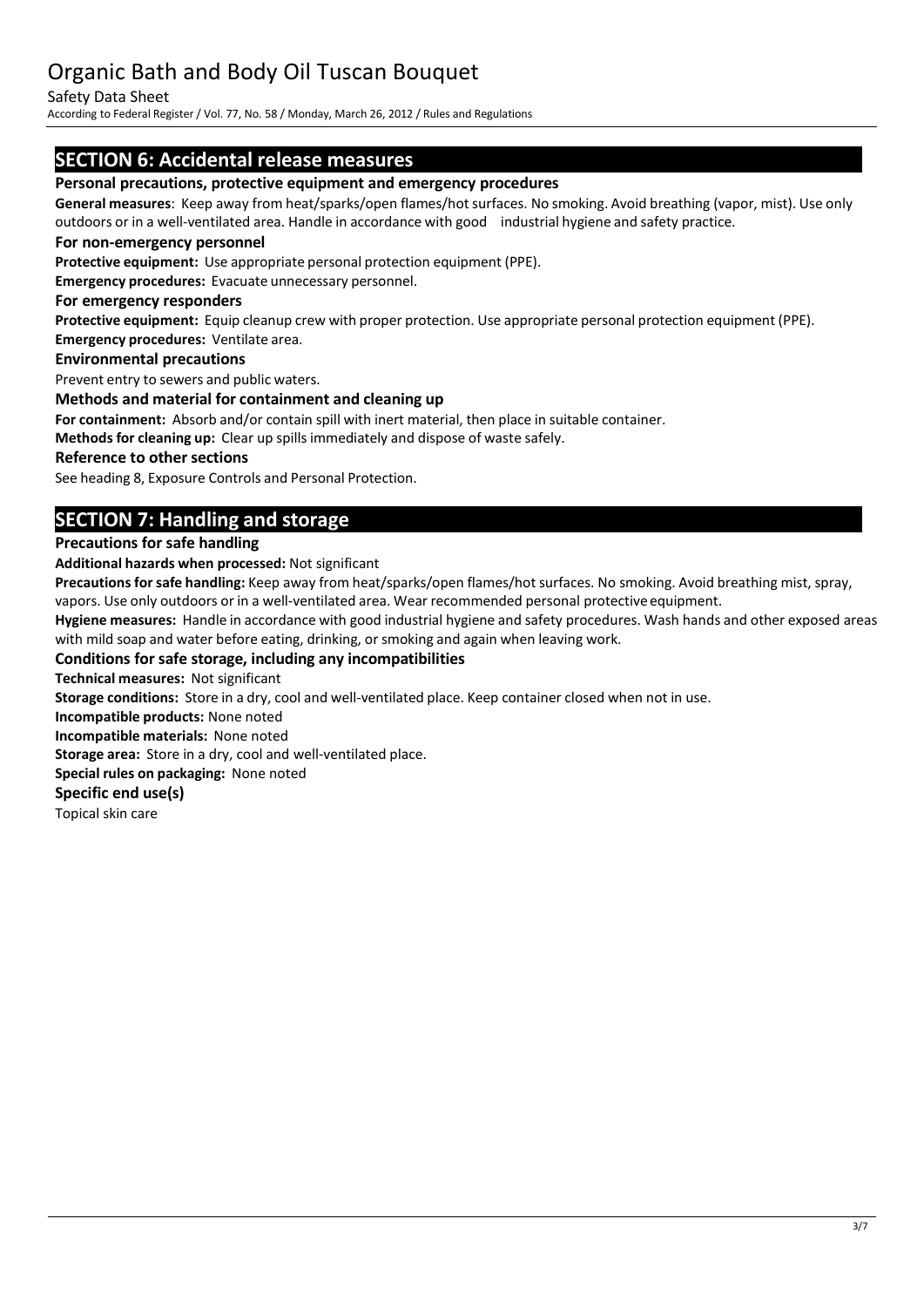#### Safety Data Sheet

According to Federal Register/ Vol. 77, No. 58 / Monday, March 26, 2012 / Rules and Regulations

## **SECTION 6: Accidental release measures**

#### **Personal precautions, protective equipment and emergency procedures**

**General measures**: Keep away from heat/sparks/open flames/hot surfaces. No smoking. Avoid breathing (vapor, mist). Use only outdoors or in a well-ventilated area. Handle in accordance with good industrial hygiene and safety practice.

#### **For non-emergency personnel**

**Protective equipment:** Use appropriate personal protection equipment (PPE).

**Emergency procedures:** Evacuate unnecessary personnel.

#### **For emergency responders**

**Protective equipment:** Equip cleanup crew with proper protection. Use appropriate personal protection equipment (PPE). **Emergency procedures:** Ventilate area.

### **Environmental precautions**

Prevent entry to sewers and public waters.

#### **Methods and material for containment and cleaning up**

**For containment:** Absorb and/or contain spill with inert material, then place in suitable container.

**Methods for cleaning up:** Clear up spillsimmediately and dispose of waste safely.

#### **Reference to other sections**

See heading 8, Exposure Controls and Personal Protection.

## **SECTION 7: Handling and storage**

#### **Precautions for safe handling**

**Additional hazards when processed:** Not significant

Precautions for safe handling: Keep away from heat/sparks/open flames/hot surfaces. No smoking. Avoid breathing mist, spray, vapors. Use only outdoors or in a well-ventilated area. Wear recommended personal protective equipment.

**Hygiene measures:** Handle in accordance with good industrial hygiene and safety procedures. Wash hands and other exposed areas with mild soap and water before eating, drinking, or smoking and again when leaving work.

#### **Conditions for safe storage, including any incompatibilities**

**Technical measures:** Not significant

**Storage conditions:** Store in a dry, cool and well-ventilated place. Keep container closed when not in use.

**Incompatible products:** None noted

**Incompatible materials:** None noted

**Storage area:** Store in a dry, cool and well-ventilated place.

**Special rules on packaging:** None noted

#### **Specific end use(s)**

Topical skin care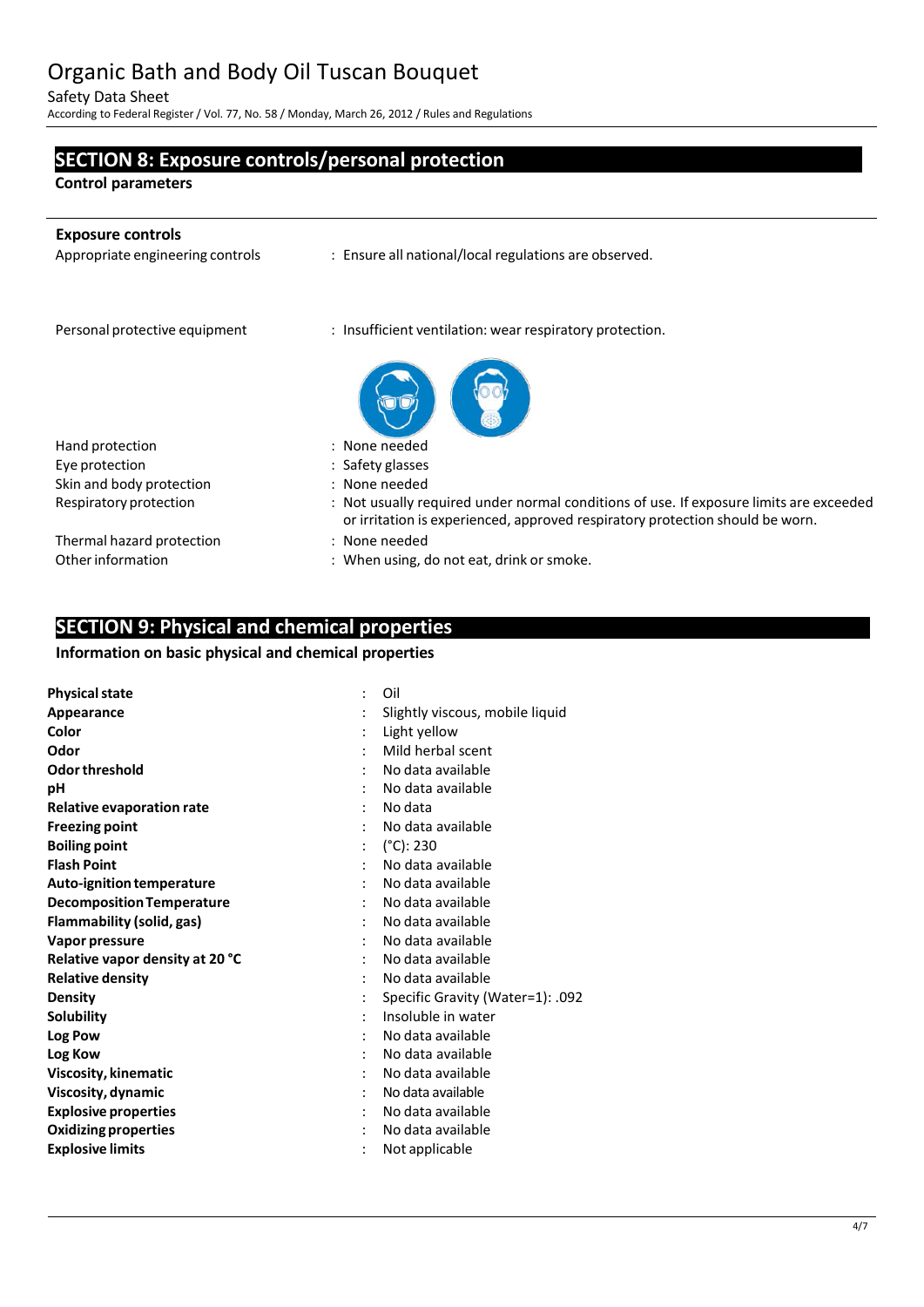Safety Data Sheet

According to Federal Register/ Vol. 77, No. 58 / Monday, March 26, 2012 / Rules and Regulations

**SECTION 8: Exposure controls/personal protection**

| <b>Control parameters</b>        |                                                                                                                                                                         |
|----------------------------------|-------------------------------------------------------------------------------------------------------------------------------------------------------------------------|
| <b>Exposure controls</b>         |                                                                                                                                                                         |
| Appropriate engineering controls | : Ensure all national/local regulations are observed.                                                                                                                   |
| Personal protective equipment    | : Insufficient ventilation: wear respiratory protection.                                                                                                                |
|                                  |                                                                                                                                                                         |
| Hand protection                  | : None needed                                                                                                                                                           |
| Eye protection                   | : Safety glasses                                                                                                                                                        |
| Skin and body protection         | : None needed                                                                                                                                                           |
| Respiratory protection           | : Not usually required under normal conditions of use. If exposure limits are exceeded<br>or irritation is experienced, approved respiratory protection should be worn. |
| Thermal hazard protection        | : None needed                                                                                                                                                           |
| Other information                | : When using, do not eat, drink or smoke.                                                                                                                               |

## **SECTION 9: Physical and chemical properties**

#### **Information on basic physical and chemical properties**

| <b>Physical state</b>            | Oil                              |
|----------------------------------|----------------------------------|
| Appearance                       | Slightly viscous, mobile liquid  |
| Color                            | Light yellow                     |
| Odor                             | Mild herbal scent                |
| Odor threshold                   | No data available                |
| рH                               | No data available                |
| <b>Relative evaporation rate</b> | No data                          |
| <b>Freezing point</b>            | No data available                |
| <b>Boiling point</b>             | $(^{\circ}C)$ : 230              |
| <b>Flash Point</b>               | No data available                |
| Auto-ignition temperature        | No data available                |
| <b>Decomposition Temperature</b> | No data available                |
| Flammability (solid, gas)        | No data available                |
| Vapor pressure                   | No data available                |
| Relative vapor density at 20 °C  | No data available                |
| <b>Relative density</b>          | No data available                |
| <b>Density</b>                   | Specific Gravity (Water=1): .092 |
| <b>Solubility</b>                | Insoluble in water               |
| Log Pow                          | No data available                |
| Log Kow                          | No data available                |
| Viscosity, kinematic             | No data available                |
| Viscosity, dynamic               | No data available                |
| <b>Explosive properties</b>      | No data available                |
| <b>Oxidizing properties</b>      | No data available                |
| <b>Explosive limits</b>          | Not applicable                   |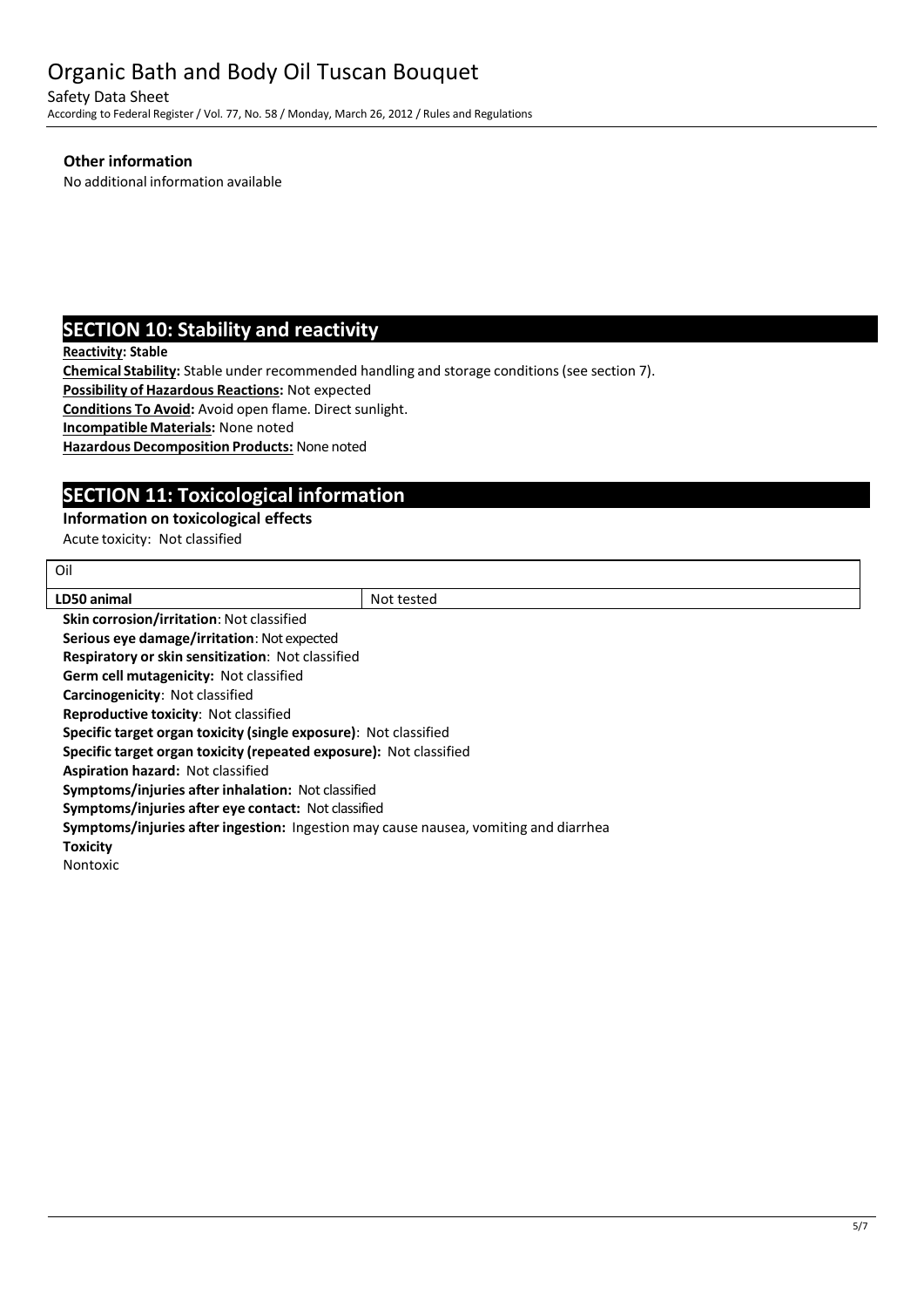Safety Data Sheet According to Federal Register/ Vol. 77, No. 58 / Monday, March 26, 2012 / Rules and Regulations

#### **Other information**

No additional information available

## **SECTION 10: Stability and reactivity**

**Reactivity: Stable**

Oil

**Chemical Stability:** Stable under recommended handling and storage conditions(see section 7).

**Possibility of Hazardous Reactions:** Not expected

**Conditions To Avoid:** Avoid open flame. Direct sunlight.

**IncompatibleMaterials:** None noted

**Hazardous Decomposition Products:** None noted

## **SECTION 11: Toxicological information**

#### **Information on toxicological effects**

Acute toxicity: Not classified

| LD50 animal                                                                          | Not tested |  |
|--------------------------------------------------------------------------------------|------------|--|
| Skin corrosion/irritation: Not classified                                            |            |  |
| Serious eye damage/irritation: Not expected                                          |            |  |
| <b>Respiratory or skin sensitization: Not classified</b>                             |            |  |
| <b>Germ cell mutagenicity: Not classified</b>                                        |            |  |
| Carcinogenicity: Not classified                                                      |            |  |
| <b>Reproductive toxicity: Not classified</b>                                         |            |  |
| Specific target organ toxicity (single exposure): Not classified                     |            |  |
| Specific target organ toxicity (repeated exposure): Not classified                   |            |  |
| <b>Aspiration hazard: Not classified</b>                                             |            |  |
| Symptoms/injuries after inhalation: Not classified                                   |            |  |
| Symptoms/injuries after eye contact: Not classified                                  |            |  |
| Symptoms/injuries after ingestion: Ingestion may cause nausea, vomiting and diarrhea |            |  |
| <b>Toxicity</b>                                                                      |            |  |
| Nontoxic                                                                             |            |  |
|                                                                                      |            |  |
|                                                                                      |            |  |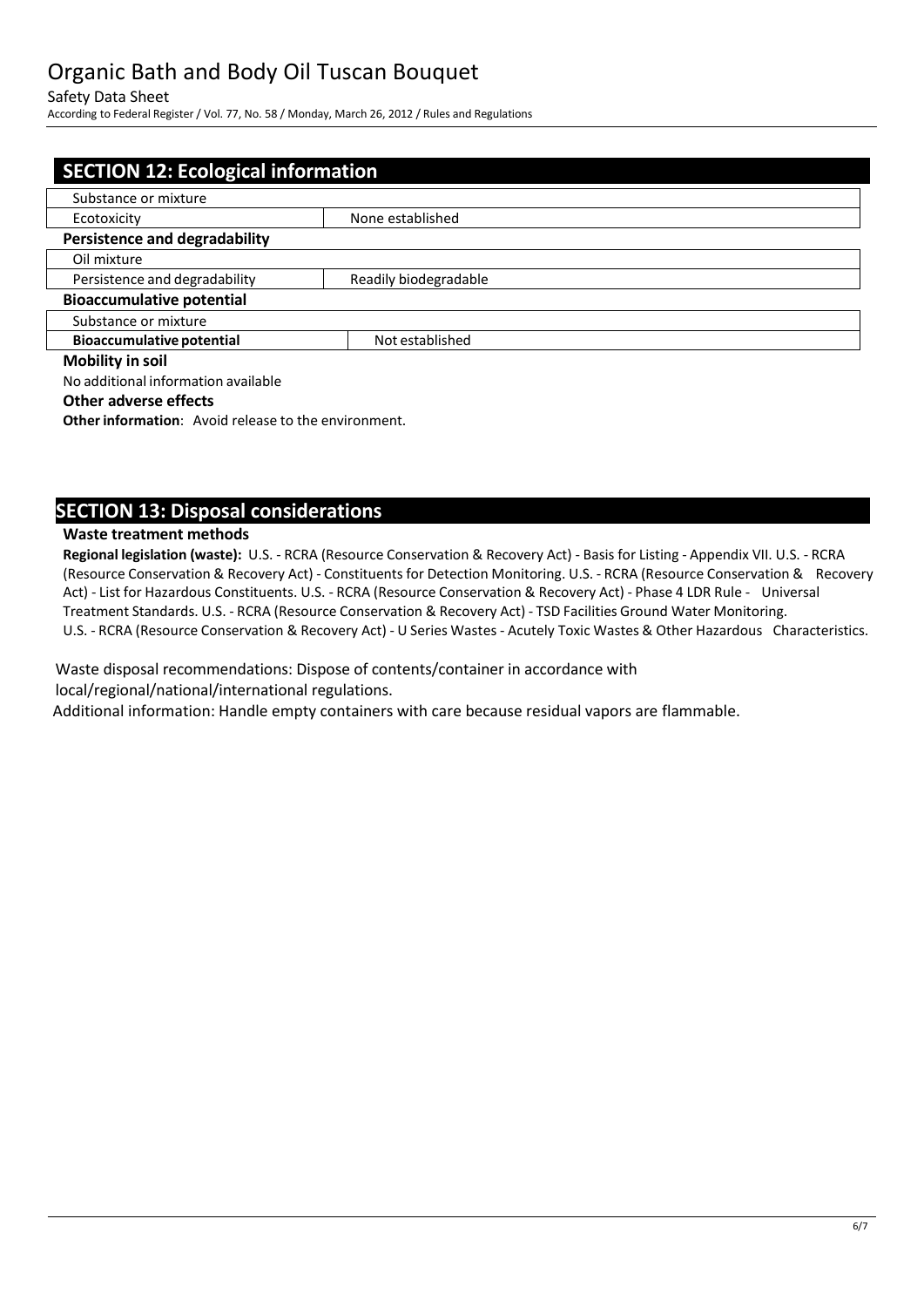#### Safety Data Sheet

According to Federal Register/ Vol. 77, No. 58 / Monday, March 26, 2012 / Rules and Regulations

| <b>SECTION 12: Ecological information</b> |                       |  |
|-------------------------------------------|-----------------------|--|
| Substance or mixture                      |                       |  |
| Ecotoxicity                               | None established      |  |
| <b>Persistence and degradability</b>      |                       |  |
| Oil mixture                               |                       |  |
| Persistence and degradability             | Readily biodegradable |  |
| <b>Bioaccumulative potential</b>          |                       |  |
| Substance or mixture                      |                       |  |
| <b>Bioaccumulative potential</b>          | Not established       |  |
| <b>Mobility in soil</b>                   |                       |  |
| No additional information available       |                       |  |

#### **Other adverse effects**

**Other information:** Avoid release to the environment.

### **SECTION 13: Disposal considerations**

#### **Waste treatment methods**

**Regional legislation (waste):** U.S. - RCRA (Resource Conservation & Recovery Act) - Basis for Listing - Appendix VII. U.S. - RCRA (Resource Conservation & Recovery Act) - Constituentsfor Detection Monitoring. U.S. - RCRA (Resource Conservation & Recovery Act) - List for Hazardous Constituents. U.S. - RCRA (Resource Conservation & Recovery Act) - Phase 4 LDR Rule - Universal Treatment Standards. U.S. - RCRA (Resource Conservation & Recovery Act) - TSD Facilities Ground Water Monitoring. U.S. - RCRA (Resource Conservation & Recovery Act) - U Series Wastes - Acutely Toxic Wastes & Other Hazardous Characteristics.

Waste disposal recommendations: Dispose of contents/container in accordance with local/regional/national/international regulations.

Additional information: Handle empty containers with care because residual vapors are flammable.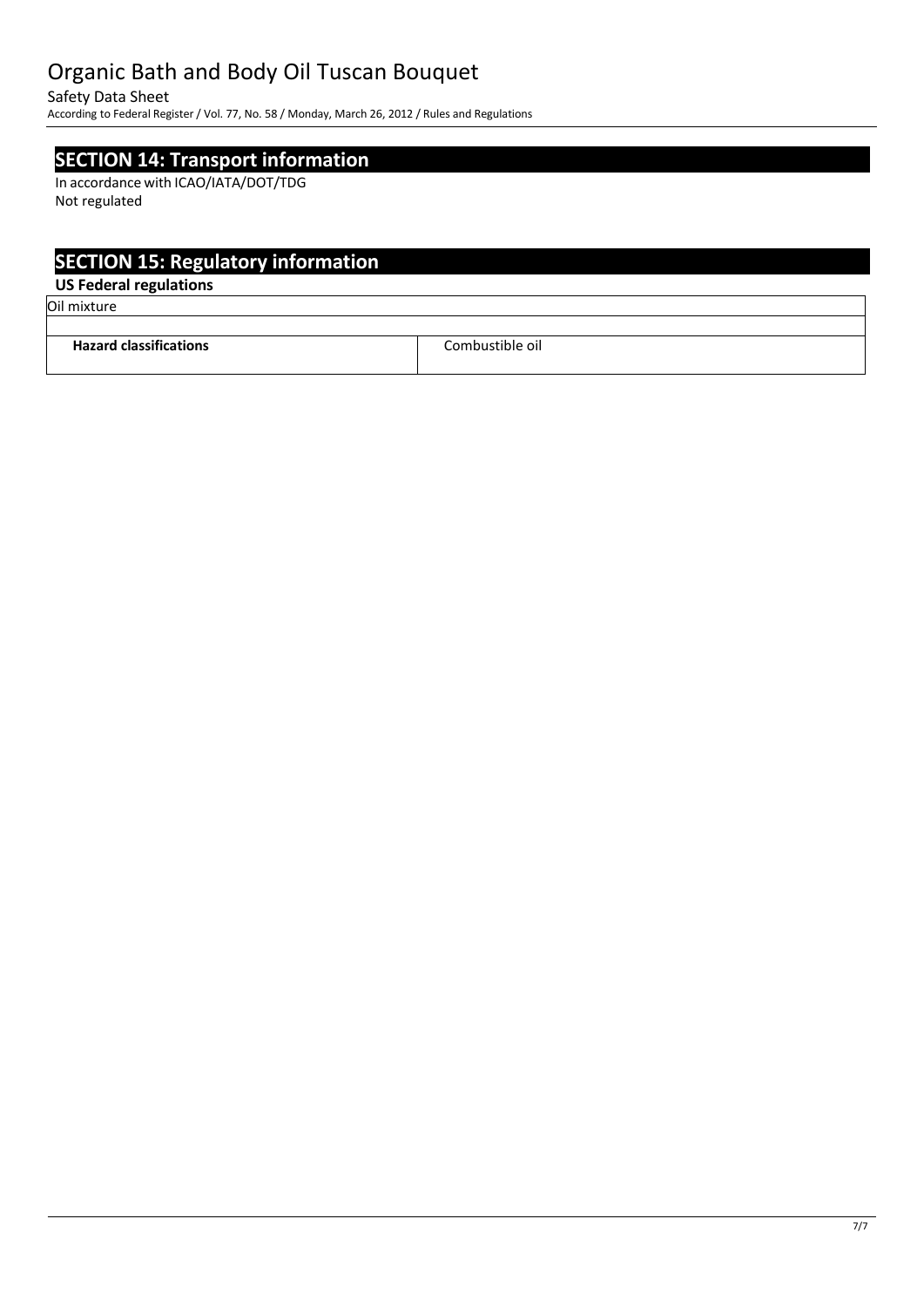Safety Data Sheet

According to Federal Register/ Vol. 77, No. 58 / Monday, March 26, 2012 / Rules and Regulations

## **SECTION 14: Transport information**

In accordance with ICAO/IATA/DOT/TDG Not regulated

## **SECTION 15: Regulatory information**

### **US Federal regulations**

Oil mixture

| <b>Hazard classifications</b> | Combustible oil. |
|-------------------------------|------------------|
|                               |                  |